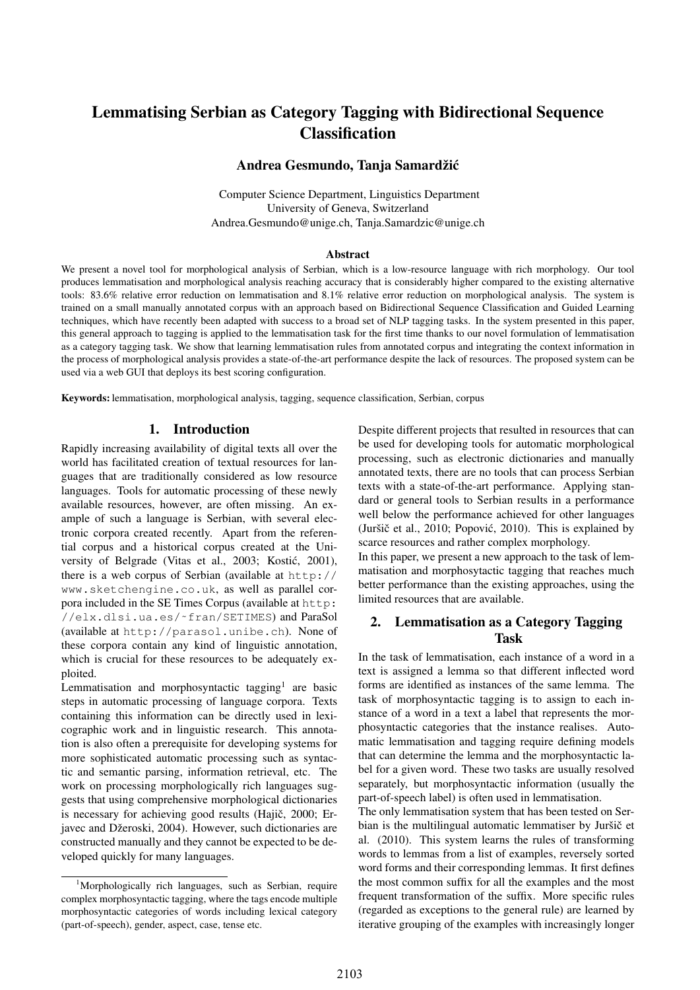# Lemmatising Serbian as Category Tagging with Bidirectional Sequence Classification

#### Andrea Gesmundo, Tanja Samardžić

Computer Science Department, Linguistics Department University of Geneva, Switzerland Andrea.Gesmundo@unige.ch, Tanja.Samardzic@unige.ch

#### **Abstract**

We present a novel tool for morphological analysis of Serbian, which is a low-resource language with rich morphology. Our tool produces lemmatisation and morphological analysis reaching accuracy that is considerably higher compared to the existing alternative tools: 83.6% relative error reduction on lemmatisation and 8.1% relative error reduction on morphological analysis. The system is trained on a small manually annotated corpus with an approach based on Bidirectional Sequence Classification and Guided Learning techniques, which have recently been adapted with success to a broad set of NLP tagging tasks. In the system presented in this paper, this general approach to tagging is applied to the lemmatisation task for the first time thanks to our novel formulation of lemmatisation as a category tagging task. We show that learning lemmatisation rules from annotated corpus and integrating the context information in the process of morphological analysis provides a state-of-the-art performance despite the lack of resources. The proposed system can be used via a web GUI that deploys its best scoring configuration.

Keywords: lemmatisation, morphological analysis, tagging, sequence classification, Serbian, corpus

#### 1. Introduction

Rapidly increasing availability of digital texts all over the world has facilitated creation of textual resources for languages that are traditionally considered as low resource languages. Tools for automatic processing of these newly available resources, however, are often missing. An example of such a language is Serbian, with several electronic corpora created recently. Apart from the referential corpus and a historical corpus created at the University of Belgrade (Vitas et al., 2003; Kostić, 2001), there is a web corpus of Serbian (available at http:// www.sketchengine.co.uk, as well as parallel corpora included in the SE Times Corpus (available at http: //elx.dlsi.ua.es/˜fran/SETIMES) and ParaSol (available at http://parasol.unibe.ch). None of these corpora contain any kind of linguistic annotation, which is crucial for these resources to be adequately exploited.

Lemmatisation and morphosyntactic tagging<sup>1</sup> are basic steps in automatic processing of language corpora. Texts containing this information can be directly used in lexicographic work and in linguistic research. This annotation is also often a prerequisite for developing systems for more sophisticated automatic processing such as syntactic and semantic parsing, information retrieval, etc. The work on processing morphologically rich languages suggests that using comprehensive morphological dictionaries is necessary for achieving good results (Hajič, 2000; Erjavec and Džeroski, 2004). However, such dictionaries are constructed manually and they cannot be expected to be developed quickly for many languages.

Despite different projects that resulted in resources that can be used for developing tools for automatic morphological processing, such as electronic dictionaries and manually annotated texts, there are no tools that can process Serbian texts with a state-of-the-art performance. Applying standard or general tools to Serbian results in a performance well below the performance achieved for other languages (Juršič et al., 2010; Popović, 2010). This is explained by scarce resources and rather complex morphology.

In this paper, we present a new approach to the task of lemmatisation and morphosytactic tagging that reaches much better performance than the existing approaches, using the limited resources that are available.

### 2. Lemmatisation as a Category Tagging Task

In the task of lemmatisation, each instance of a word in a text is assigned a lemma so that different inflected word forms are identified as instances of the same lemma. The task of morphosyntactic tagging is to assign to each instance of a word in a text a label that represents the morphosyntactic categories that the instance realises. Automatic lemmatisation and tagging require defining models that can determine the lemma and the morphosyntactic label for a given word. These two tasks are usually resolved separately, but morphosyntactic information (usually the part-of-speech label) is often used in lemmatisation.

The only lemmatisation system that has been tested on Serbian is the multilingual automatic lemmatiser by Juršič et al. (2010). This system learns the rules of transforming words to lemmas from a list of examples, reversely sorted word forms and their corresponding lemmas. It first defines the most common suffix for all the examples and the most frequent transformation of the suffix. More specific rules (regarded as exceptions to the general rule) are learned by iterative grouping of the examples with increasingly longer

<sup>&</sup>lt;sup>1</sup>Morphologically rich languages, such as Serbian, require complex morphosyntactic tagging, where the tags encode multiple morphosyntactic categories of words including lexical category (part-of-speech), gender, aspect, case, tense etc.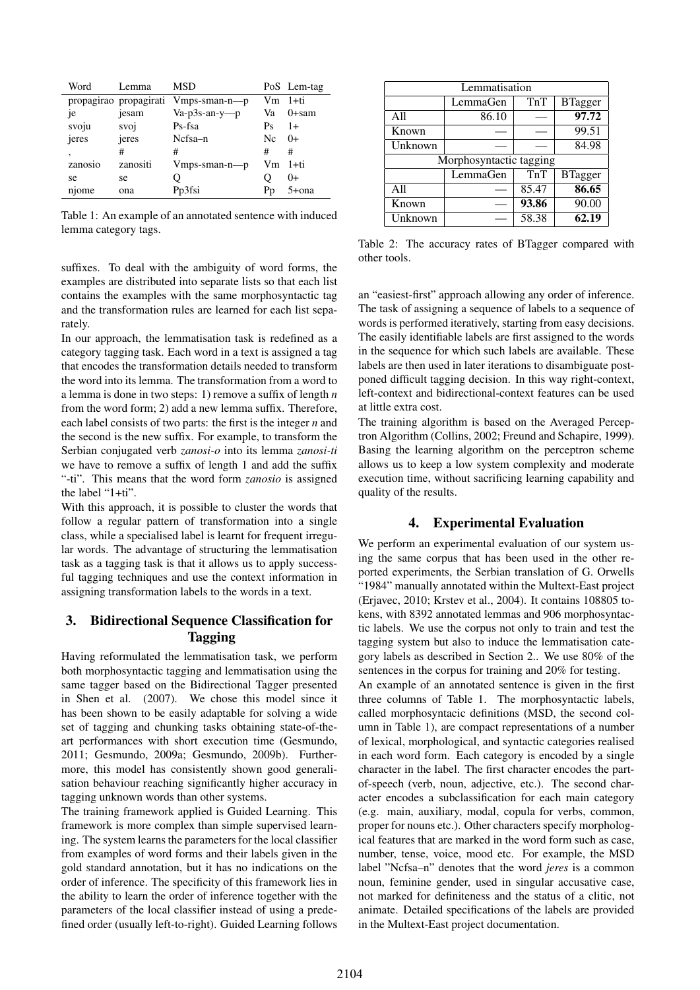| Word    | Lemma                  | MSD                |    | PoS Lem-tag |
|---------|------------------------|--------------------|----|-------------|
|         | propagirao propagirati | $V$ mps-sman-n—p   |    | Vm 1+ti     |
| je      | jesam                  | $Va-p3s-an-y-p$    | Va | 0+sam       |
| svoju   | svoj                   | Ps-fsa             | Ps | $1+$        |
| jeres   | jeres                  | Ncfsa-n            | Nc | $0+$        |
| ۰       | #                      | #                  | #  | #           |
| zanosio | zanositi               | $V$ mps-sman-n---p |    | Vm 1+ti     |
| se      | se                     | Ő                  |    | $0+$        |
| njome   | ona                    | Pp3fsi             | Рp | 5+ona       |

Table 1: An example of an annotated sentence with induced lemma category tags.

suffixes. To deal with the ambiguity of word forms, the examples are distributed into separate lists so that each list contains the examples with the same morphosyntactic tag and the transformation rules are learned for each list separately.

In our approach, the lemmatisation task is redefined as a category tagging task. Each word in a text is assigned a tag that encodes the transformation details needed to transform the word into its lemma. The transformation from a word to a lemma is done in two steps: 1) remove a suffix of length *n* from the word form; 2) add a new lemma suffix. Therefore, each label consists of two parts: the first is the integer *n* and the second is the new suffix. For example, to transform the Serbian conjugated verb *zanosi-o* into its lemma *zanosi-ti* we have to remove a suffix of length 1 and add the suffix "-ti". This means that the word form *zanosio* is assigned the label "1+ti".

With this approach, it is possible to cluster the words that follow a regular pattern of transformation into a single class, while a specialised label is learnt for frequent irregular words. The advantage of structuring the lemmatisation task as a tagging task is that it allows us to apply successful tagging techniques and use the context information in assigning transformation labels to the words in a text.

## 3. Bidirectional Sequence Classification for Tagging

Having reformulated the lemmatisation task, we perform both morphosyntactic tagging and lemmatisation using the same tagger based on the Bidirectional Tagger presented in Shen et al. (2007). We chose this model since it has been shown to be easily adaptable for solving a wide set of tagging and chunking tasks obtaining state-of-theart performances with short execution time (Gesmundo, 2011; Gesmundo, 2009a; Gesmundo, 2009b). Furthermore, this model has consistently shown good generalisation behaviour reaching significantly higher accuracy in tagging unknown words than other systems.

The training framework applied is Guided Learning. This framework is more complex than simple supervised learning. The system learns the parameters for the local classifier from examples of word forms and their labels given in the gold standard annotation, but it has no indications on the order of inference. The specificity of this framework lies in the ability to learn the order of inference together with the parameters of the local classifier instead of using a predefined order (usually left-to-right). Guided Learning follows

|         | Lemmatisation           |       |                |
|---------|-------------------------|-------|----------------|
|         | LemmaGen                | TnT   | <b>BTagger</b> |
| A11     | 86.10                   |       | 97.72          |
| Known   |                         |       | 99.51          |
| Unknown |                         |       | 84.98          |
|         | Morphosyntactic tagging |       |                |
|         | LemmaGen                | TnT   | <b>BTagger</b> |
| A11     |                         | 85.47 | 86.65          |
| Known   |                         | 93.86 | 90.00          |
| Unknown |                         | 58.38 | 62.19          |

Table 2: The accuracy rates of BTagger compared with other tools.

an "easiest-first" approach allowing any order of inference. The task of assigning a sequence of labels to a sequence of words is performed iteratively, starting from easy decisions. The easily identifiable labels are first assigned to the words in the sequence for which such labels are available. These labels are then used in later iterations to disambiguate postponed difficult tagging decision. In this way right-context, left-context and bidirectional-context features can be used at little extra cost.

The training algorithm is based on the Averaged Perceptron Algorithm (Collins, 2002; Freund and Schapire, 1999). Basing the learning algorithm on the perceptron scheme allows us to keep a low system complexity and moderate execution time, without sacrificing learning capability and quality of the results.

### 4. Experimental Evaluation

We perform an experimental evaluation of our system using the same corpus that has been used in the other reported experiments, the Serbian translation of G. Orwells "1984" manually annotated within the Multext-East project (Erjavec, 2010; Krstev et al., 2004). It contains 108805 tokens, with 8392 annotated lemmas and 906 morphosyntactic labels. We use the corpus not only to train and test the tagging system but also to induce the lemmatisation category labels as described in Section 2.. We use 80% of the sentences in the corpus for training and 20% for testing.

An example of an annotated sentence is given in the first three columns of Table 1. The morphosyntactic labels, called morphosyntacic definitions (MSD, the second column in Table 1), are compact representations of a number of lexical, morphological, and syntactic categories realised in each word form. Each category is encoded by a single character in the label. The first character encodes the partof-speech (verb, noun, adjective, etc.). The second character encodes a subclassification for each main category (e.g. main, auxiliary, modal, copula for verbs, common, proper for nouns etc.). Other characters specify morphological features that are marked in the word form such as case, number, tense, voice, mood etc. For example, the MSD label "Ncfsa–n" denotes that the word *jeres* is a common noun, feminine gender, used in singular accusative case, not marked for definiteness and the status of a clitic, not animate. Detailed specifications of the labels are provided in the Multext-East project documentation.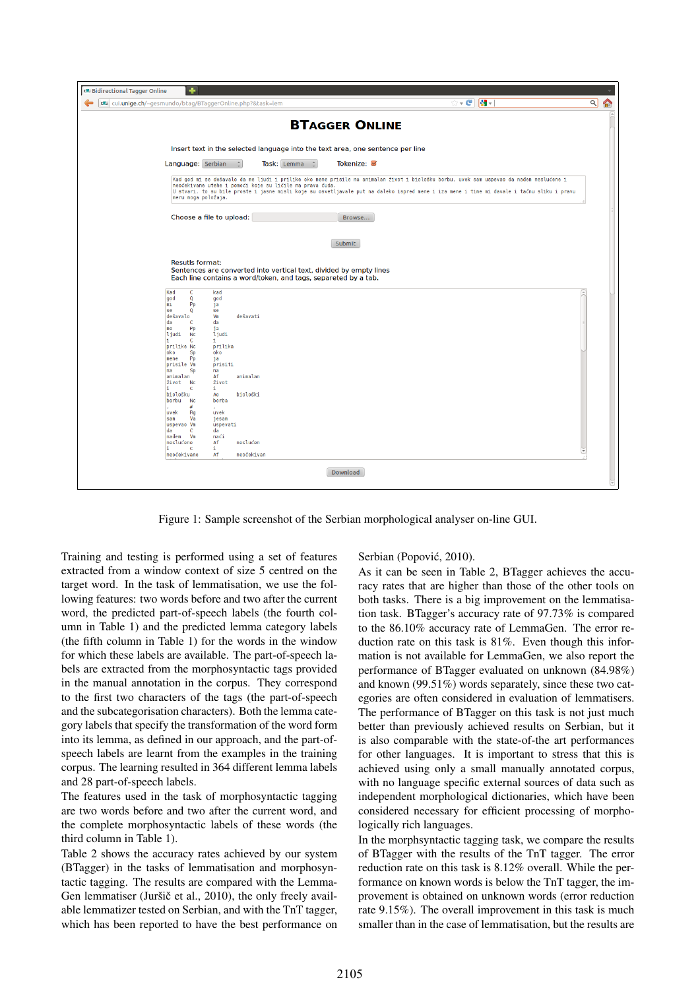|                                                                                                                                                                                                                                                                                                               | cui.unige.ch/~gesmundo/btag/BTaggerOnline.php?&task=lem                                                                                                                                                                                                                                                                                           | ☆ <b>- @   ყ -</b> | থ |
|---------------------------------------------------------------------------------------------------------------------------------------------------------------------------------------------------------------------------------------------------------------------------------------------------------------|---------------------------------------------------------------------------------------------------------------------------------------------------------------------------------------------------------------------------------------------------------------------------------------------------------------------------------------------------|--------------------|---|
|                                                                                                                                                                                                                                                                                                               | <b>BTAGGER ONLINE</b>                                                                                                                                                                                                                                                                                                                             |                    |   |
|                                                                                                                                                                                                                                                                                                               | Insert text in the selected language into the text area, one sentence per line                                                                                                                                                                                                                                                                    |                    |   |
| Language: Serbian                                                                                                                                                                                                                                                                                             | Tokenize: Ø<br>Task: Lemma :                                                                                                                                                                                                                                                                                                                      |                    |   |
| meru moga položaja.                                                                                                                                                                                                                                                                                           | Kad god mi se dešavalo da me ljudi i prilike oko mene prisile na animalan život i biološku borbu, uvek sam uspevao da nađem neslućene i<br>neočekivane utehe i pomoći koje su ličile na prava čuda.<br>U stvari, to su bile proste i jasne misli koje su osvetljavale put na daleko ispred mene i iza mene i time mi davale i tačnu sliku i pravu |                    |   |
|                                                                                                                                                                                                                                                                                                               | Choose a file to upload:<br>Browse                                                                                                                                                                                                                                                                                                                |                    |   |
|                                                                                                                                                                                                                                                                                                               | Submit                                                                                                                                                                                                                                                                                                                                            |                    |   |
| <b>Resutls format:</b>                                                                                                                                                                                                                                                                                        | Sentences are converted into vertical text, divided by empty lines<br>Each line contains a word/token, and tags, separeted by a tab.                                                                                                                                                                                                              |                    |   |
| Kad<br>c<br>$\mathbf Q$<br>god<br>mi<br>Pp<br>se<br>$\mathbf 0$<br>dešavalo<br>da<br>c<br>me<br>Pp<br>ljudi<br><b>Nc</b><br>c<br>prilike Nc<br>oko<br>Sp<br>mene<br>Pp<br>prisile Vm<br>na<br>Sp<br>animalan<br>život Nc<br>C<br>biološku<br>borbu<br><b>Nc</b><br>#<br>uvek<br>Rq<br>Va<br>sam<br>uspevao Vm | kad<br>god<br>ja<br>se<br>dešavati<br>Vm<br>da<br>ja<br>ljudi<br>i.<br>prilika<br>oko<br>ja<br>prisiti<br>na<br>Af<br>animalan<br>život<br>i.<br>biološki<br>Ao<br>borba<br>×<br>uvek<br>jesam<br>uspevati<br>da                                                                                                                                  |                    |   |

Figure 1: Sample screenshot of the Serbian morphological analyser on-line GUI.

Training and testing is performed using a set of features extracted from a window context of size 5 centred on the target word. In the task of lemmatisation, we use the following features: two words before and two after the current word, the predicted part-of-speech labels (the fourth column in Table 1) and the predicted lemma category labels (the fifth column in Table 1) for the words in the window for which these labels are available. The part-of-speech labels are extracted from the morphosyntactic tags provided in the manual annotation in the corpus. They correspond to the first two characters of the tags (the part-of-speech and the subcategorisation characters). Both the lemma category labels that specify the transformation of the word form into its lemma, as defined in our approach, and the part-ofspeech labels are learnt from the examples in the training corpus. The learning resulted in 364 different lemma labels and 28 part-of-speech labels.

The features used in the task of morphosyntactic tagging are two words before and two after the current word, and the complete morphosyntactic labels of these words (the third column in Table 1).

Table 2 shows the accuracy rates achieved by our system (BTagger) in the tasks of lemmatisation and morphosyntactic tagging. The results are compared with the Lemma-Gen lemmatiser (Juršič et al., 2010), the only freely available lemmatizer tested on Serbian, and with the TnT tagger, which has been reported to have the best performance on Serbian (Popović, 2010).

As it can be seen in Table 2, BTagger achieves the accuracy rates that are higher than those of the other tools on both tasks. There is a big improvement on the lemmatisation task. BTagger's accuracy rate of 97.73% is compared to the 86.10% accuracy rate of LemmaGen. The error reduction rate on this task is 81%. Even though this information is not available for LemmaGen, we also report the performance of BTagger evaluated on unknown (84.98%) and known (99.51%) words separately, since these two categories are often considered in evaluation of lemmatisers. The performance of BTagger on this task is not just much better than previously achieved results on Serbian, but it is also comparable with the state-of-the art performances for other languages. It is important to stress that this is achieved using only a small manually annotated corpus, with no language specific external sources of data such as independent morphological dictionaries, which have been considered necessary for efficient processing of morphologically rich languages.

In the morphsyntactic tagging task, we compare the results of BTagger with the results of the TnT tagger. The error reduction rate on this task is 8.12% overall. While the performance on known words is below the TnT tagger, the improvement is obtained on unknown words (error reduction rate 9.15%). The overall improvement in this task is much smaller than in the case of lemmatisation, but the results are